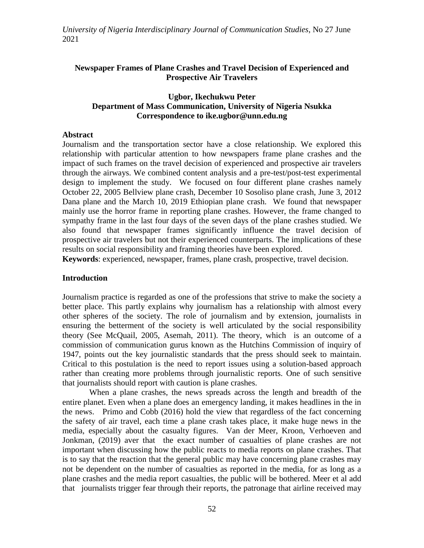### **Newspaper Frames of Plane Crashes and Travel Decision of Experienced and Prospective Air Travelers**

### **Ugbor, Ikechukwu Peter Department of Mass Communication, University of Nigeria Nsukka Correspondence to ike.ugbor@unn.edu.ng**

#### **Abstract**

Journalism and the transportation sector have a close relationship. We explored this relationship with particular attention to how newspapers frame plane crashes and the impact of such frames on the travel decision of experienced and prospective air travelers through the airways. We combined content analysis and a pre-test/post-test experimental design to implement the study. We focused on four different plane crashes namely October 22, 2005 Bellview plane crash, December 10 Sosoliso plane crash, June 3, 2012 Dana plane and the March 10, 2019 Ethiopian plane crash. We found that newspaper mainly use the horror frame in reporting plane crashes. However, the frame changed to sympathy frame in the last four days of the seven days of the plane crashes studied. We also found that newspaper frames significantly influence the travel decision of prospective air travelers but not their experienced counterparts. The implications of these results on social responsibility and framing theories have been explored.

**Keywords**: experienced, newspaper, frames, plane crash, prospective, travel decision.

### **Introduction**

Journalism practice is regarded as one of the professions that strive to make the society a better place. This partly explains why journalism has a relationship with almost every other spheres of the society. The role of journalism and by extension, journalists in ensuring the betterment of the society is well articulated by the social responsibility theory (See McQuail, 2005, Asemah, 2011). The theory, which is an outcome of a commission of communication gurus known as the Hutchins Commission of inquiry of 1947, points out the key journalistic standards that the press should seek to maintain. Critical to this postulation is the need to report issues using a solution-based approach rather than creating more problems through journalistic reports. One of such sensitive that journalists should report with caution is plane crashes.

When a plane crashes, the news spreads across the length and breadth of the entire planet. Even when a plane does an emergency landing, it makes headlines in the in the news. Primo and Cobb (2016) hold the view that regardless of the fact concerning the safety of air travel, each time a plane crash takes place, it make huge news in the media, especially about the casualty figures. Van der Meer, Kroon, Verhoeven and Jonkman, (2019) aver that the exact number of casualties of plane crashes are not important when discussing how the public reacts to media reports on plane crashes. That is to say that the reaction that the general public may have concerning plane crashes may not be dependent on the number of casualties as reported in the media, for as long as a plane crashes and the media report casualties, the public will be bothered. Meer et al add that journalists trigger fear through their reports, the patronage that airline received may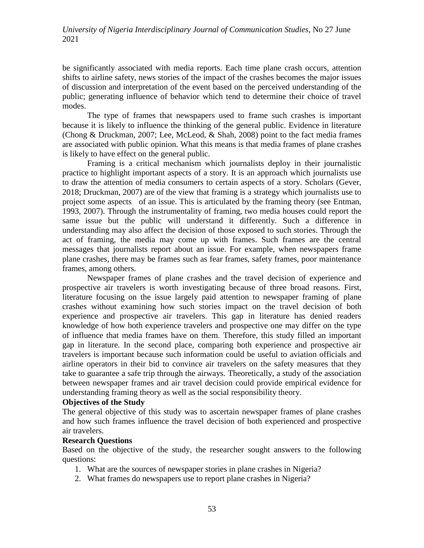be significantly associated with media reports. Each time plane crash occurs, attention shifts to airline safety, news stories of the impact of the crashes becomes the major issues of discussion and interpretation of the event based on the perceived understanding of the public; generating influence of behavior which tend to determine their choice of travel modes.

The type of frames that newspapers used to frame such crashes is important because it is likely to influence the thinking of the general public. Evidence in literature (Chong & Druckman, 2007; Lee, McLeod, & Shah, 2008) point to the fact media frames are associated with public opinion. What this means is that media frames of plane crashes is likely to have effect on the general public.

Framing is a critical mechanism which journalists deploy in their journalistic practice to highlight important aspects of a story. It is an approach which journalists use to draw the attention of media consumers to certain aspects of a story. Scholars (Gever, 2018; Druckman, 2007) are of the view that framing is a strategy which journalists use to project some aspects of an issue. This is articulated by the framing theory (see Entman, 1993, 2007). Through the instrumentality of framing, two media houses could report the same issue but the public will understand it differently. Such a difference in understanding may also affect the decision of those exposed to such stories. Through the act of framing, the media may come up with frames. Such frames are the central messages that journalists report about an issue. For example, when newspapers frame plane crashes, there may be frames such as fear frames, safety frames, poor maintenance frames, among others.

Newspaper frames of plane crashes and the travel decision of experience and prospective air travelers is worth investigating because of three broad reasons. First, literature focusing on the issue largely paid attention to newspaper framing of plane crashes without examining how such stories impact on the travel decision of both experience and prospective air travelers. This gap in literature has denied readers knowledge of how both experience travelers and prospective one may differ on the type of influence that media frames have on them. Therefore, this study filled an important gap in literature. In the second place, comparing both experience and prospective air travelers is important because such information could be useful to aviation officials and airline operators in their bid to convince air travelers on the safety measures that they take to guarantee a safe trip through the airways. Theoretically, a study of the association between newspaper frames and air travel decision could provide empirical evidence for understanding framing theory as well as the social responsibility theory.

#### **Objectives of the Study**

The general objective of this study was to ascertain newspaper frames of plane crashes and how such frames influence the travel decision of both experienced and prospective air travelers.

#### **Research Questions**

Based on the objective of the study, the researcher sought answers to the following questions:

- 1. What are the sources of newspaper stories in plane crashes in Nigeria?
- 2. What frames do newspapers use to report plane crashes in Nigeria?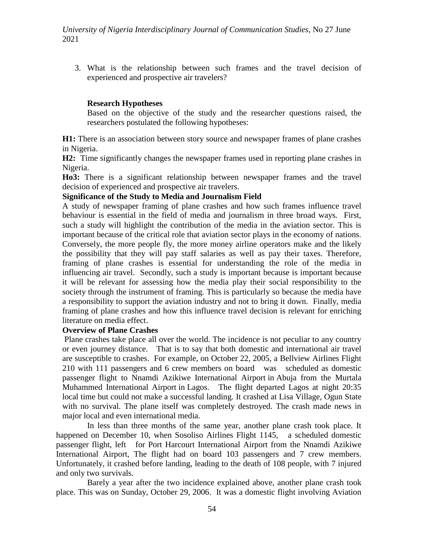3. What is the relationship between such frames and the travel decision of experienced and prospective air travelers?

## **Research Hypotheses**

Based on the objective of the study and the researcher questions raised, the researchers postulated the following hypotheses:

**H1:** There is an association between story source and newspaper frames of plane crashes in Nigeria.

**H2:** Time significantly changes the newspaper frames used in reporting plane crashes in Nigeria.

**Ho3:** There is a significant relationship between newspaper frames and the travel decision of experienced and prospective air travelers.

### **Significance of the Study to Media and Journalism Field**

A study of newspaper framing of plane crashes and how such frames influence travel behaviour is essential in the field of media and journalism in three broad ways. First, such a study will highlight the contribution of the media in the aviation sector. This is important because of the critical role that aviation sector plays in the economy of nations. Conversely, the more people fly, the more money airline operators make and the likely the possibility that they will pay staff salaries as well as pay their taxes. Therefore, framing of plane crashes is essential for understanding the role of the media in influencing air travel. Secondly, such a study is important because is important because it will be relevant for assessing how the media play their social responsibility to the society through the instrument of framing. This is particularly so because the media have a responsibility to support the aviation industry and not to bring it down. Finally, media framing of plane crashes and how this influence travel decision is relevant for enriching literature on media effect.

### **Overview of Plane Crashes**

Plane crashes take place all over the world. The incidence is not peculiar to any country or even journey distance. That is to say that both domestic and international air travel are susceptible to crashes. For example, on October 22, 2005, a Bellview Airlines Flight 210 with 111 passengers and 6 crew members on board was scheduled as domestic passenger flight to Nnamdi Azikiwe International Airport in Abuja from the Murtala Muhammed International Airport in Lagos. The flight departed Lagos at night 20:35 local time but could not make a successful landing. It crashed at Lisa Village, Ogun State with no survival. The plane itself was completely destroyed. The crash made news in major local and even international media.

In less than three months of the same year, another plane crash took place. It happened on December 10, when Sosoliso Airlines Flight 1145, a scheduled domestic passenger flight, left for Port Harcourt International Airport from the Nnamdi Azikiwe International Airport, The flight had on board 103 passengers and 7 crew members. Unfortunately, it crashed before landing, leading to the death of 108 people, with 7 injured and only two survivals.

Barely a year after the two incidence explained above, another plane crash took place. This was on Sunday, October 29, 2006. It was a domestic flight involving Aviation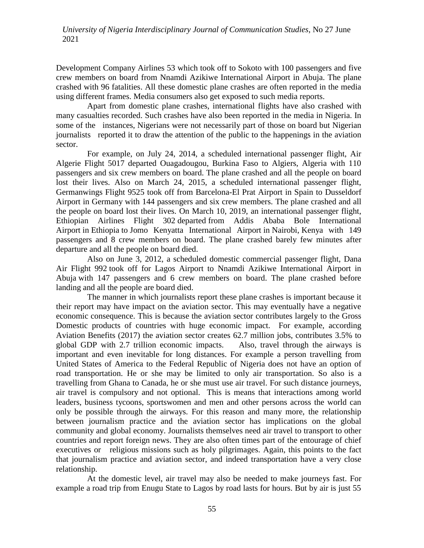Development Company Airlines 53 which took off to Sokoto with 100 passengers and five crew members on board from Nnamdi Azikiwe International Airport in Abuja. The plane crashed with 96 fatalities. All these domestic plane crashes are often reported in the media using different frames. Media consumers also get exposed to such media reports.

Apart from domestic plane crashes, international flights have also crashed with many casualties recorded. Such crashes have also been reported in the media in Nigeria. In some of the instances, Nigerians were not necessarily part of those on board but Nigerian journalists reported it to draw the attention of the public to the happenings in the aviation sector.

For example, on July 24, 2014, a scheduled international passenger flight, Air Algerie Flight 5017 departed Ouagadougou, Burkina Faso to Algiers, Algeria with 110 passengers and six crew members on board. The plane crashed and all the people on board lost their lives. Also on March 24, 2015, a scheduled international passenger flight, Germanwings Flight 9525 took off from Barcelona-El Prat Airport in Spain to Dusseldorf Airport in Germany with 144 passengers and six crew members. The plane crashed and all the people on board lost their lives. On March 10, 2019, an international passenger flight, Ethiopian Airlines Flight 302 departed from Addis Ababa Bole International Airport in Ethiopia to Jomo Kenyatta International Airport in Nairobi, Kenya with 149 passengers and 8 crew members on board. The plane crashed barely few minutes after departure and all the people on board died.

Also on June 3, 2012, a scheduled domestic commercial passenger flight, Dana Air Flight 992 took off for Lagos Airport to Nnamdi Azikiwe International Airport in Abuja with 147 passengers and 6 crew members on board. The plane crashed before landing and all the people are board died.

The manner in which journalists report these plane crashes is important because it their report may have impact on the aviation sector. This may eventually have a negative economic consequence. This is because the aviation sector contributes largely to the Gross Domestic products of countries with huge economic impact. For example, according Aviation Benefits (2017) the aviation sector creates 62.7 million jobs, contributes 3.5% to global GDP with 2.7 trillion economic impacts. Also, travel through the airways is important and even inevitable for long distances. For example a person travelling from United States of America to the Federal Republic of Nigeria does not have an option of road transportation. He or she may be limited to only air transportation. So also is a travelling from Ghana to Canada, he or she must use air travel. For such distance journeys, air travel is compulsory and not optional. This is means that interactions among world leaders, business tycoons, sportswomen and men and other persons across the world can only be possible through the airways. For this reason and many more, the relationship between journalism practice and the aviation sector has implications on the global community and global economy. Journalists themselves need air travel to transport to other countries and report foreign news. They are also often times part of the entourage of chief executives or religious missions such as holy pilgrimages. Again, this points to the fact that journalism practice and aviation sector, and indeed transportation have a very close relationship.

At the domestic level, air travel may also be needed to make journeys fast. For example a road trip from Enugu State to Lagos by road lasts for hours. But by air is just 55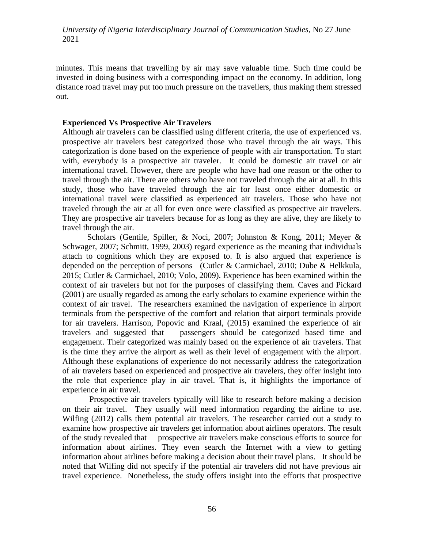minutes. This means that travelling by air may save valuable time. Such time could be invested in doing business with a corresponding impact on the economy. In addition, long distance road travel may put too much pressure on the travellers, thus making them stressed out.

#### **Experienced Vs Prospective Air Travelers**

Although air travelers can be classified using different criteria, the use of experienced vs. prospective air travelers best categorized those who travel through the air ways. This categorization is done based on the experience of people with air transportation. To start with, everybody is a prospective air traveler. It could be domestic air travel or air international travel. However, there are people who have had one reason or the other to travel through the air. There are others who have not traveled through the air at all. In this study, those who have traveled through the air for least once either domestic or international travel were classified as experienced air travelers. Those who have not traveled through the air at all for even once were classified as prospective air travelers. They are prospective air travelers because for as long as they are alive, they are likely to travel through the air.

Scholars (Gentile, Spiller, & Noci, 2007; Johnston & Kong, 2011; Meyer & Schwager, 2007; Schmitt, 1999, 2003) regard experience as the meaning that individuals attach to cognitions which they are exposed to. It is also argued that experience is depended on the perception of persons (Cutler & Carmichael, 2010; Dube & Helkkula, 2015; Cutler & Carmichael, 2010; Volo, 2009). Experience has been examined within the context of air travelers but not for the purposes of classifying them. Caves and Pickard (2001) are usually regarded as among the early scholars to examine experience within the context of air travel. The researchers examined the navigation of experience in airport terminals from the perspective of the comfort and relation that airport terminals provide for air travelers. Harrison, Popovic and Kraal, (2015) examined the experience of air travelers and suggested that passengers should be categorized based time and engagement. Their categorized was mainly based on the experience of air travelers. That is the time they arrive the airport as well as their level of engagement with the airport. Although these explanations of experience do not necessarily address the categorization of air travelers based on experienced and prospective air travelers, they offer insight into the role that experience play in air travel. That is, it highlights the importance of experience in air travel.

Prospective air travelers typically will like to research before making a decision on their air travel. They usually will need information regarding the airline to use. Wilfing (2012) calls them potential air travelers. The researcher carried out a study to examine how prospective air travelers get information about airlines operators. The result of the study revealed that prospective air travelers make conscious efforts to source for information about airlines. They even search the Internet with a view to getting information about airlines before making a decision about their travel plans. It should be noted that Wilfing did not specify if the potential air travelers did not have previous air travel experience. Nonetheless, the study offers insight into the efforts that prospective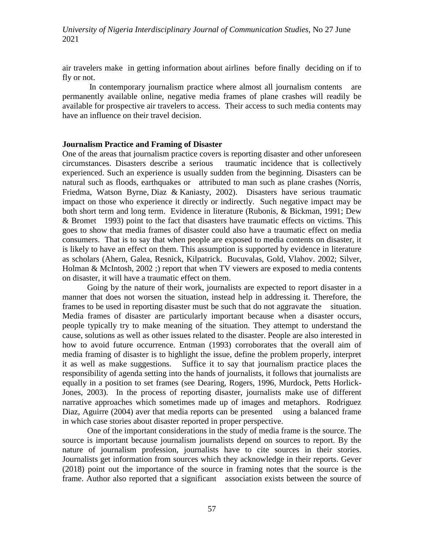air travelers make in getting information about airlines before finally deciding on if to fly or not.

In contemporary journalism practice where almost all journalism contents are permanently available online, negative media frames of plane crashes will readily be available for prospective air travelers to access. Their access to such media contents may have an influence on their travel decision.

#### **Journalism Practice and Framing of Disaster**

One of the areas that journalism practice covers is reporting disaster and other unforeseen circumstances. Disasters describe a serious traumatic incidence that is collectively experienced. Such an experience is usually sudden from the beginning. Disasters can be natural such as floods, earthquakes or attributed to man such as plane crashes (Norris, Friedma, Watson Byrne, Diaz & Kaniasty, 2002). Disasters have serious traumatic impact on those who experience it directly or indirectly. Such negative impact may be both short term and long term. Evidence in literature (Rubonis, & Bickman, 1991; Dew & Bromet 1993) point to the fact that disasters have traumatic effects on victims. This goes to show that media frames of disaster could also have a traumatic effect on media consumers. That is to say that when people are exposed to media contents on disaster, it is likely to have an effect on them. This assumption is supported by evidence in literature as scholars (Ahern, Galea, Resnick, Kilpatrick. Bucuvalas, Gold, Vlahov. 2002; Silver, Holman & McIntosh, 2002 ;) report that when TV viewers are exposed to media contents on disaster, it will have a traumatic effect on them.

Going by the nature of their work, journalists are expected to report disaster in a manner that does not worsen the situation, instead help in addressing it. Therefore, the frames to be used in reporting disaster must be such that do not aggravate the situation. Media frames of disaster are particularly important because when a disaster occurs, people typically try to make meaning of the situation. They attempt to understand the cause, solutions as well as other issues related to the disaster. People are also interested in how to avoid future occurrence. Entman (1993) corroborates that the overall aim of media framing of disaster is to highlight the issue, define the problem properly, interpret it as well as make suggestions. Suffice it to say that journalism practice places the responsibility of agenda setting into the hands of journalists, it follows that journalists are equally in a position to set frames (see Dearing, Rogers, 1996, Murdock, Petts Horlick-Jones, 2003). In the process of reporting disaster, journalists make use of different narrative approaches which sometimes made up of images and metaphors. Rodriguez Diaz, Aguirre (2004) aver that media reports can be presented using a balanced frame in which case stories about disaster reported in proper perspective.

One of the important considerations in the study of media frame is the source. The source is important because journalism journalists depend on sources to report. By the nature of journalism profession, journalists have to cite sources in their stories. Journalists get information from sources which they acknowledge in their reports. Gever (2018) point out the importance of the source in framing notes that the source is the frame. Author also reported that a significant association exists between the source of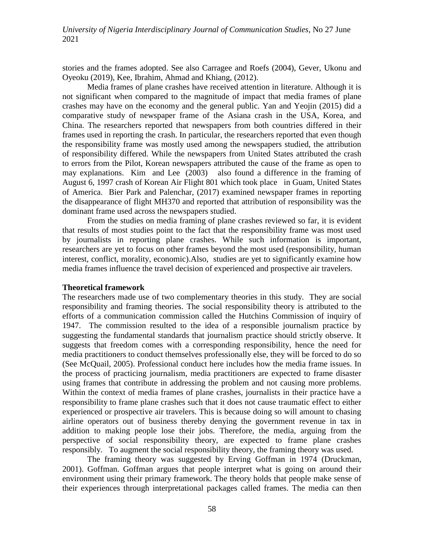stories and the frames adopted. See also Carragee and Roefs (2004), Gever, Ukonu and Oyeoku (2019), Kee, Ibrahim, Ahmad and Khiang, (2012).

Media frames of plane crashes have received attention in literature. Although it is not significant when compared to the magnitude of impact that media frames of plane crashes may have on the economy and the general public. Yan and Yeojin (2015) did a comparative study of newspaper frame of the Asiana crash in the USA, Korea, and China. The researchers reported that newspapers from both countries differed in their frames used in reporting the crash. In particular, the researchers reported that even though the responsibility frame was mostly used among the newspapers studied, the attribution of responsibility differed. While the newspapers from United States attributed the crash to errors from the Pilot, Korean newspapers attributed the cause of the frame as open to may explanations. Kim and Lee (2003) also found a difference in the framing of August 6, 1997 crash of Korean Air Flight 801 which took place in Guam, United States of America. Bier Park and Palenchar, (2017) examined newspaper frames in reporting the disappearance of flight MH370 and reported that attribution of responsibility was the dominant frame used across the newspapers studied.

From the studies on media framing of plane crashes reviewed so far, it is evident that results of most studies point to the fact that the responsibility frame was most used by journalists in reporting plane crashes. While such information is important, researchers are yet to focus on other frames beyond the most used (responsibility, human interest, conflict, morality, economic).Also, studies are yet to significantly examine how media frames influence the travel decision of experienced and prospective air travelers.

#### **Theoretical framework**

The researchers made use of two complementary theories in this study. They are social responsibility and framing theories. The social responsibility theory is attributed to the efforts of a communication commission called the Hutchins Commission of inquiry of 1947. The commission resulted to the idea of a responsible journalism practice by suggesting the fundamental standards that journalism practice should strictly observe. It suggests that freedom comes with a corresponding responsibility, hence the need for media practitioners to conduct themselves professionally else, they will be forced to do so (See McQuail, 2005). Professional conduct here includes how the media frame issues. In the process of practicing journalism, media practitioners are expected to frame disaster using frames that contribute in addressing the problem and not causing more problems. Within the context of media frames of plane crashes, journalists in their practice have a responsibility to frame plane crashes such that it does not cause traumatic effect to either experienced or prospective air travelers. This is because doing so will amount to chasing airline operators out of business thereby denying the government revenue in tax in addition to making people lose their jobs. Therefore, the media, arguing from the perspective of social responsibility theory, are expected to frame plane crashes responsibly. To augment the social responsibility theory, the framing theory was used.

The framing theory was suggested by Erving Goffman in 1974 (Druckman, 2001). Goffman. Goffman argues that people interpret what is going on around their environment using their primary framework. The theory holds that people make sense of their experiences through interpretational packages called frames. The media can then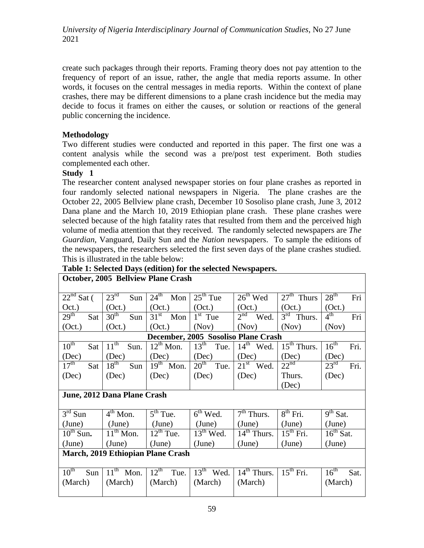create such packages through their reports. Framing theory does not pay attention to the frequency of report of an issue, rather, the angle that media reports assume. In other words, it focuses on the central messages in media reports. Within the context of plane crashes, there may be different dimensions to a plane crash incidence but the media may decide to focus it frames on either the causes, or solution or reactions of the general public concerning the incidence.

# **Methodology**

Two different studies were conducted and reported in this paper. The first one was a content analysis while the second was a pre/post test experiment. Both studies complemented each other.

# **Study 1**

The researcher content analysed newspaper stories on four plane crashes as reported in four randomly selected national newspapers in Nigeria. The plane crashes are the October 22, 2005 Bellview plane crash, December 10 Sosoliso plane crash, June 3, 2012 Dana plane and the March 10, 2019 Ethiopian plane crash. These plane crashes were selected because of the high fatality rates that resulted from them and the perceived high volume of media attention that they received. The randomly selected newspapers are *The Guardian*, Vanguard*,* Daily Sun and the *Nation* newspapers. To sample the editions of the newspapers, the researchers selected the first seven days of the plane crashes studied. This is illustrated in the table below:

|                                     |                                  | October, 2005 Bellview Plane Crash  |                                     |                                    |                           |                                     |  |  |  |  |  |
|-------------------------------------|----------------------------------|-------------------------------------|-------------------------------------|------------------------------------|---------------------------|-------------------------------------|--|--|--|--|--|
| $\overline{22^{nd}}$ Sat (          | $23^{\rm rd}$<br>Sun             | $24^{\text{th}}$ Mon                | $25th$ Tue                          | $26th$ Wed                         | $27th$ Thurs              | $28^{\text{th}}$<br>Fri             |  |  |  |  |  |
|                                     |                                  |                                     |                                     |                                    |                           |                                     |  |  |  |  |  |
| Oct.)                               | (Oct.)                           | (Oct.)                              | (Oct.)                              | (Oct.)                             | (Oct.)                    | (Oct.)                              |  |  |  |  |  |
| 29 <sup>th</sup><br>Sat             | 30 <sup>th</sup><br>Sun          | 31 <sup>st</sup><br>Mon             | $1st$ Tue                           | 2 <sup>nd</sup><br>Wed.            | $3rd$ Thurs.              | 4 <sup>th</sup><br>Fri              |  |  |  |  |  |
| (Oct.)                              | (Oct.)                           | (Oct.)                              | (Nov)                               | (Nov)                              | (Nov)                     | (Nov)                               |  |  |  |  |  |
| December, 2005 Sosoliso Plane Crash |                                  |                                     |                                     |                                    |                           |                                     |  |  |  |  |  |
| $10^{th}$<br>Sat                    | $11^{\text{th}}$<br>Sun.         | $12^{th}$ Mon.                      | $13^{\text{th}}$<br>Tue.            | $14^{\text{th}}$<br>Wed.           | $15th$ Thurs.             | 16 <sup>th</sup><br>Fri.            |  |  |  |  |  |
| (Dec)                               | (Dec)                            | (Dec)                               | (Dec)                               | (Dec)                              | (Dec)                     | (Dec)                               |  |  |  |  |  |
| $17^{\text{th}}$<br>Sat             | $18^{\text{th}}$<br>Sun          | $19^{th}$<br>Mon.                   | $20^{\overline{\text{th}}}$<br>Tue. | $21st$ Wed.                        | $22^{\text{nd}}$          | $23^{\overline{\text{rd}}}$<br>Fri. |  |  |  |  |  |
| (Dec)                               | (Dec)<br>(Dec)                   |                                     | (Dec)                               | (Dec)                              | Thurs.                    | (Dec)                               |  |  |  |  |  |
|                                     |                                  |                                     |                                     |                                    | (Dec)                     |                                     |  |  |  |  |  |
|                                     | June, 2012 Dana Plane Crash      |                                     |                                     |                                    |                           |                                     |  |  |  |  |  |
|                                     |                                  |                                     |                                     |                                    |                           |                                     |  |  |  |  |  |
| $3rd$ Sun                           | $4th$ Mon.                       | $\overline{5}^{\text{th}}$ Tue.     | $6th$ Wed.                          | $7th$ Thurs.                       | $8^{th}$ Fri.             | $9th$ Sat.                          |  |  |  |  |  |
| (June)                              | (June)                           | (June)                              | (June)                              | (June)                             | (June)                    | (June)                              |  |  |  |  |  |
| $10^{th}$ Sun.                      | $\overline{11}^{\text{th}}$ Mon. | $12^{th}$ Tue.                      | $13th$ Wed.                         | $\overline{1}4^{\text{th}}$ Thurs. | $\overline{15^{th}}$ Fri. | $16th$ Sat.                         |  |  |  |  |  |
| (June)                              | (June)                           | (June)                              | (June)                              | (June)                             | (June)                    | (June)                              |  |  |  |  |  |
|                                     |                                  | March, 2019 Ethiopian Plane Crash   |                                     |                                    |                           |                                     |  |  |  |  |  |
|                                     |                                  |                                     |                                     |                                    |                           |                                     |  |  |  |  |  |
| $10^{\overline{th}}$<br>Sun         | 11 <sup>th</sup><br>Mon.         | $12^{\overline{\text{th}}}$<br>Tue. | $13th$ Wed.                         | $14th$ Thurs.                      | $15^{th}$ Fri.            | $16^{\text{th}}$<br>Sat.            |  |  |  |  |  |
| (March)                             | (March)                          | (March)                             | (March)                             | (March)                            |                           | (March)                             |  |  |  |  |  |
|                                     |                                  |                                     |                                     |                                    |                           |                                     |  |  |  |  |  |

# **Table 1: Selected Days (edition) for the selected Newspapers.**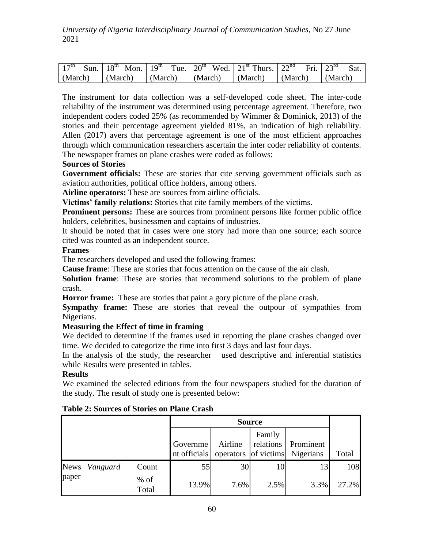| 17 <sup>th</sup>                | Sun.   $18^{th}$ Mon.   $19^{th}$ Tue.   $20^{th}$ Wed.   $21^{st}$ Thurs.   $22^{nd}$ |                                                                                 | Fri. $23^{rd}$ | <b>Sat</b> |
|---------------------------------|----------------------------------------------------------------------------------------|---------------------------------------------------------------------------------|----------------|------------|
| $\vert$ (March) $\vert$ (March) |                                                                                        | $\vert$ (March) $\vert$ (March) $\vert$ (March) $\vert$ (March) $\vert$ (March) |                |            |

The instrument for data collection was a self-developed code sheet. The inter-code reliability of the instrument was determined using percentage agreement. Therefore, two independent coders coded 25% (as recommended by Wimmer & Dominick, 2013) of the stories and their percentage agreement yielded 81%, an indication of high reliability. Allen (2017) avers that percentage agreement is one of the most efficient approaches through which communication researchers ascertain the inter coder reliability of contents. The newspaper frames on plane crashes were coded as follows:

## **Sources of Stories**

**Government officials:** These are stories that cite serving government officials such as aviation authorities, political office holders, among others.

**Airline operators:** These are sources from airline officials.

**Victims' family relations:** Stories that cite family members of the victims.

**Prominent persons:** These are sources from prominent persons like former public office holders, celebrities, businessmen and captains of industries.

It should be noted that in cases were one story had more than one source; each source cited was counted as an independent source.

## **Frames**

The researchers developed and used the following frames:

**Cause frame**: These are stories that focus attention on the cause of the air clash.

**Solution frame**: These are stories that recommend solutions to the problem of plane crash.

**Horror frame:** These are stories that paint a gory picture of the plane crash.

**Sympathy frame:** These are stories that reveal the outpour of sympathies from Nigerians.

# **Measuring the Effect of time in framing**

We decided to determine if the frames used in reporting the plane crashes changed over time. We decided to categorize the time into first 3 days and last four days.

In the analysis of the study, the researcher used descriptive and inferential statistics while Results were presented in tables.

# **Results**

We examined the selected editions from the four newspapers studied for the duration of the study. The result of study one is presented below:

|       |               |                 |                          | <b>Source</b> |                     |                                             |       |
|-------|---------------|-----------------|--------------------------|---------------|---------------------|---------------------------------------------|-------|
|       |               |                 | Governme<br>nt officials | Airline       | Family<br>relations | Prominent<br>operators of victims Nigerians | Total |
|       | News Vanguard | Count           | 55                       | 30            | 10                  | 13                                          | 108   |
| paper |               | $%$ of<br>Total | 13.9%                    | 7.6%          | 2.5%                | 3.3%                                        | 27.2% |

# **Table 2: Sources of Stories on Plane Crash**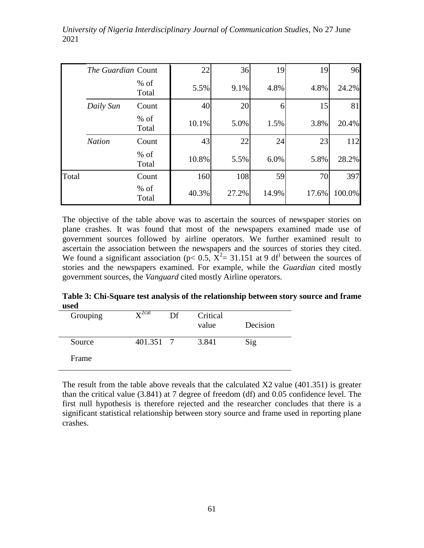|       | The Guardian Count |                 | 22    | 36    | 19    | 19    | 96     |
|-------|--------------------|-----------------|-------|-------|-------|-------|--------|
|       |                    | $%$ of<br>Total | 5.5%  | 9.1%  | 4.8%  | 4.8%  | 24.2%  |
|       | Daily Sun          | Count           | 40    | 20    | 6     | 15    | 81     |
|       |                    | $%$ of<br>Total | 10.1% | 5.0%  | 1.5%  | 3.8%  | 20.4%  |
|       | <b>Nation</b>      | Count           | 43    | 22    | 24    | 23    | 112    |
|       |                    | $%$ of<br>Total | 10.8% | 5.5%  | 6.0%  | 5.8%  | 28.2%  |
| Total |                    | Count           | 160   | 108   | 59    | 70    | 397    |
|       |                    | $%$ of<br>Total | 40.3% | 27.2% | 14.9% | 17.6% | 100.0% |

The objective of the table above was to ascertain the sources of newspaper stories on plane crashes. It was found that most of the newspapers examined made use of government sources followed by airline operators. We further examined result to ascertain the association between the newspapers and the sources of stories they cited. We found a significant association ( $p < 0.5$ ,  $\overline{X^2} = 31.151$  at 9 df<sup>)</sup> between the sources of stories and the newspapers examined. For example, while the *Guardian* cited mostly government sources, the *Vanguard* cited mostly Airline operators.

**Table 3: Chi-Square test analysis of the relationship between story source and frame used**

| Grouping | $\mathbf{v}^{\text{2cal}}$ | Df | Critical<br>value | Decision |
|----------|----------------------------|----|-------------------|----------|
| Source   | 401.351 7                  |    | 3.841             | Sig      |
| Frame    |                            |    |                   |          |

The result from the table above reveals that the calculated  $X2$  value (401.351) is greater than the critical value (3.841) at 7 degree of freedom (df) and 0.05 confidence level. The first null hypothesis is therefore rejected and the researcher concludes that there is a significant statistical relationship between story source and frame used in reporting plane crashes.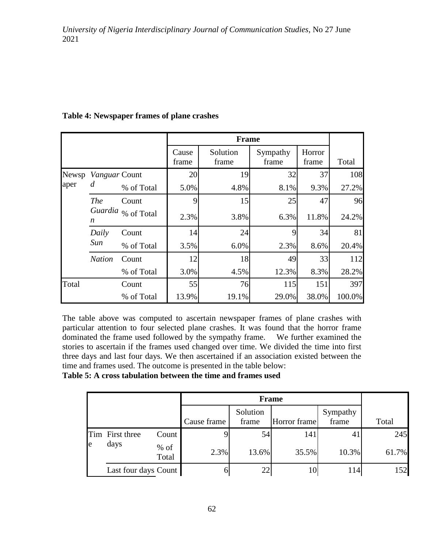|       |                 |                    |                | <b>Frame</b>      |                   |                 |        |
|-------|-----------------|--------------------|----------------|-------------------|-------------------|-----------------|--------|
|       |                 |                    | Cause<br>frame | Solution<br>frame | Sympathy<br>frame | Horror<br>frame | Total  |
| Newsp | Vanguar Count   |                    | 20             | 19                | 32                | 37              | 108    |
| aper  | d               | % of Total         | 5.0%           | 4.8%              | 8.1%              | 9.3%            | 27.2%  |
|       | <b>The</b><br>n | Count              | 9              | 15                | 25                | 47              | 96     |
|       |                 | Guardia % of Total | 2.3%           | 3.8%              | 6.3%              | 11.8%           | 24.2%  |
|       | Daily           | Count              | 14             | 24                | 9                 | 34              | 81     |
|       | Sun             | % of Total         | 3.5%           | 6.0%              | 2.3%              | 8.6%            | 20.4%  |
|       | <b>Nation</b>   | Count              | 12             | 18                | 49                | 33              | 112    |
|       |                 | % of Total         | 3.0%           | 4.5%              | 12.3%             | 8.3%            | 28.2%  |
| Total |                 | Count              | 55             | 76                | 115               | 151             | 397    |
|       |                 | % of Total         | 13.9%          | 19.1%             | 29.0%             | 38.0%           | 100.0% |

# **Table 4: Newspaper frames of plane crashes**

The table above was computed to ascertain newspaper frames of plane crashes with particular attention to four selected plane crashes. It was found that the horror frame dominated the frame used followed by the sympathy frame. We further examined the stories to ascertain if the frames used changed over time. We divided the time into first three days and last four days. We then ascertained if an association existed between the time and frames used. The outcome is presented in the table below:

### **Table 5: A cross tabulation between the time and frames used**

|           |                      |                 |             |                   | Frame        |                   |       |
|-----------|----------------------|-----------------|-------------|-------------------|--------------|-------------------|-------|
|           |                      |                 | Cause frame | Solution<br>frame | Horror frame | Sympathy<br>frame | Total |
|           | Tim First three      | Count           |             | 54                | 141          | $\mathbf{4}$      | 245   |
| days<br>e |                      | $%$ of<br>Total | 2.3%        | 13.6%             | 35.5%        | 10.3%             | 61.7% |
|           | Last four days Count |                 | 6           | 22                | 10           | 114               | 152   |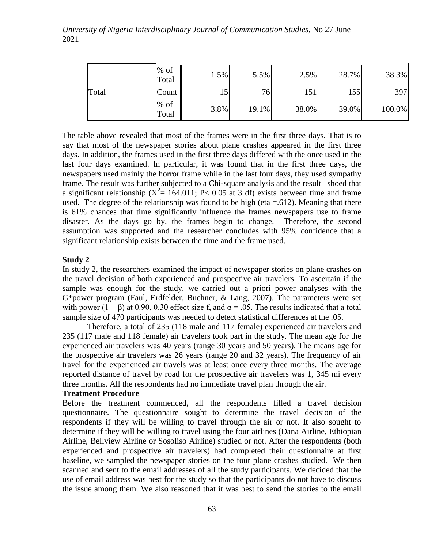|       | $%$ of<br>Total | $1.5\%$ | 5.5%            | 2.5%  | 28.7% | 38.3%  |
|-------|-----------------|---------|-----------------|-------|-------|--------|
| Total | Count           | IJ      | 76 <sub>l</sub> | 151   | 155   | 397    |
|       | $%$ of<br>Total | 3.8%    | 19.1%           | 38.0% | 39.0% | 100.0% |

The table above revealed that most of the frames were in the first three days. That is to say that most of the newspaper stories about plane crashes appeared in the first three days. In addition, the frames used in the first three days differed with the once used in the last four days examined. In particular, it was found that in the first three days, the newspapers used mainly the horror frame while in the last four days, they used sympathy frame. The result was further subjected to a Chi-square analysis and the result shoed that a significant relationship ( $X^2 = 164.011$ ; P< 0.05 at 3 df) exists between time and frame used. The degree of the relationship was found to be high (eta  $= 0.612$ ). Meaning that there is 61% chances that time significantly influence the frames newspapers use to frame disaster. As the days go by, the frames begin to change. Therefore, the second assumption was supported and the researcher concludes with 95% confidence that a significant relationship exists between the time and the frame used.

#### **Study 2**

In study 2, the researchers examined the impact of newspaper stories on plane crashes on the travel decision of both experienced and prospective air travelers. To ascertain if the sample was enough for the study, we carried out a priori power analyses with the G\*power program (Faul, Erdfelder, Buchner, & Lang, 2007). The parameters were set with power  $(1 - \beta)$  at 0.90, 0.30 effect size f, and  $\alpha = .05$ . The results indicated that a total sample size of 470 participants was needed to detect statistical differences at the .05.

Therefore, a total of 235 (118 male and 117 female) experienced air travelers and 235 (117 male and 118 female) air travelers took part in the study. The mean age for the experienced air travelers was 40 years (range 30 years and 50 years). The means age for the prospective air travelers was 26 years (range 20 and 32 years). The frequency of air travel for the experienced air travels was at least once every three months. The average reported distance of travel by road for the prospective air travelers was 1, 345 mi every three months. All the respondents had no immediate travel plan through the air.

#### **Treatment Procedure**

Before the treatment commenced, all the respondents filled a travel decision questionnaire. The questionnaire sought to determine the travel decision of the respondents if they will be willing to travel through the air or not. It also sought to determine if they will be willing to travel using the four airlines (Dana Airline, Ethiopian Airline, Bellview Airline or Sosoliso Airline) studied or not. After the respondents (both experienced and prospective air travelers) had completed their questionnaire at first baseline, we sampled the newspaper stories on the four plane crashes studied. We then scanned and sent to the email addresses of all the study participants. We decided that the use of email address was best for the study so that the participants do not have to discuss the issue among them. We also reasoned that it was best to send the stories to the email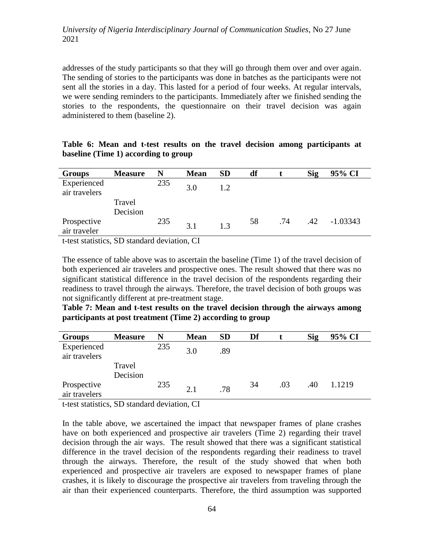addresses of the study participants so that they will go through them over and over again. The sending of stories to the participants was done in batches as the participants were not sent all the stories in a day. This lasted for a period of four weeks. At regular intervals, we were sending reminders to the participants. Immediately after we finished sending the stories to the respondents, the questionnaire on their travel decision was again administered to them (baseline 2).

| <b>Groups</b>                | <b>Measure</b>     | N   | <b>Mean</b> | <b>SD</b> | df |     | <b>Sig</b> | 95% CI     |
|------------------------------|--------------------|-----|-------------|-----------|----|-----|------------|------------|
| Experienced<br>air travelers |                    | 235 | 3.0         | 1.2       |    |     |            |            |
|                              | Travel<br>Decision |     |             |           |    |     |            |            |
| Prospective<br>air traveler  |                    | 235 | 3.1         | 1.3       | 58 | .74 | .42        | $-1.03343$ |

|  |  |                                      |  |  | Table 6: Mean and t-test results on the travel decision among participants at |  |
|--|--|--------------------------------------|--|--|-------------------------------------------------------------------------------|--|
|  |  | baseline (Time 1) according to group |  |  |                                                                               |  |

t-test statistics, SD standard deviation, CI

The essence of table above was to ascertain the baseline (Time 1) of the travel decision of both experienced air travelers and prospective ones. The result showed that there was no significant statistical difference in the travel decision of the respondents regarding their readiness to travel through the airways. Therefore, the travel decision of both groups was not significantly different at pre-treatment stage.

**Table 7: Mean and t-test results on the travel decision through the airways among participants at post treatment (Time 2) according to group**

| <b>Groups</b>                | <b>Measure</b> | N   | <b>Mean</b> | <b>SD</b> | Df |     | Sig | 95% CI |
|------------------------------|----------------|-----|-------------|-----------|----|-----|-----|--------|
| Experienced<br>air travelers |                | 235 | 3.0         | .89       |    |     |     |        |
|                              | Travel         |     |             |           |    |     |     |        |
|                              | Decision       |     |             |           |    |     |     |        |
| Prospective<br>air travelers |                | 235 | 2.1         | .78       | 34 | .03 | .40 | 1.1219 |

t-test statistics, SD standard deviation, CI

In the table above, we ascertained the impact that newspaper frames of plane crashes have on both experienced and prospective air travelers (Time 2) regarding their travel decision through the air ways. The result showed that there was a significant statistical difference in the travel decision of the respondents regarding their readiness to travel through the airways. Therefore, the result of the study showed that when both experienced and prospective air travelers are exposed to newspaper frames of plane crashes, it is likely to discourage the prospective air travelers from traveling through the air than their experienced counterparts. Therefore, the third assumption was supported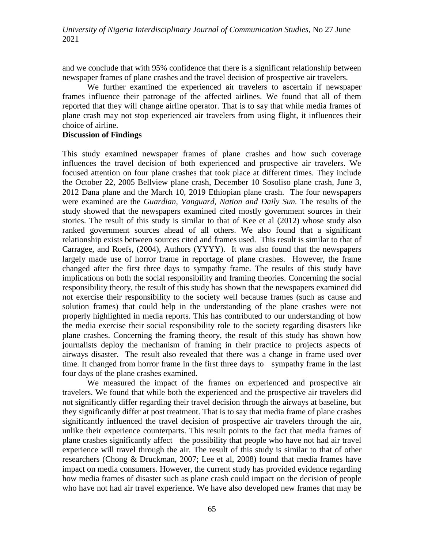and we conclude that with 95% confidence that there is a significant relationship between newspaper frames of plane crashes and the travel decision of prospective air travelers.

We further examined the experienced air travelers to ascertain if newspaper frames influence their patronage of the affected airlines. We found that all of them reported that they will change airline operator. That is to say that while media frames of plane crash may not stop experienced air travelers from using flight, it influences their choice of airline.

### **Discussion of Findings**

This study examined newspaper frames of plane crashes and how such coverage influences the travel decision of both experienced and prospective air travelers. We focused attention on four plane crashes that took place at different times. They include the October 22, 2005 Bellview plane crash, December 10 Sosoliso plane crash, June 3, 2012 Dana plane and the March 10, 2019 Ethiopian plane crash. The four newspapers were examined are the *Guardian, Vanguard, Nation and Daily Sun.* The results of the study showed that the newspapers examined cited mostly government sources in their stories. The result of this study is similar to that of Kee et al (2012) whose study also ranked government sources ahead of all others. We also found that a significant relationship exists between sources cited and frames used. This result is similar to that of Carragee, and Roefs, (2004), Authors (YYYY). It was also found that the newspapers largely made use of horror frame in reportage of plane crashes. However, the frame changed after the first three days to sympathy frame. The results of this study have implications on both the social responsibility and framing theories. Concerning the social responsibility theory, the result of this study has shown that the newspapers examined did not exercise their responsibility to the society well because frames (such as cause and solution frames) that could help in the understanding of the plane crashes were not properly highlighted in media reports. This has contributed to our understanding of how the media exercise their social responsibility role to the society regarding disasters like plane crashes. Concerning the framing theory, the result of this study has shown how journalists deploy the mechanism of framing in their practice to projects aspects of airways disaster. The result also revealed that there was a change in frame used over time. It changed from horror frame in the first three days to sympathy frame in the last four days of the plane crashes examined.

We measured the impact of the frames on experienced and prospective air travelers. We found that while both the experienced and the prospective air travelers did not significantly differ regarding their travel decision through the airways at baseline, but they significantly differ at post treatment. That is to say that media frame of plane crashes significantly influenced the travel decision of prospective air travelers through the air, unlike their experience counterparts. This result points to the fact that media frames of plane crashes significantly affect the possibility that people who have not had air travel experience will travel through the air. The result of this study is similar to that of other researchers (Chong & Druckman, 2007; Lee et al, 2008) found that media frames have impact on media consumers. However, the current study has provided evidence regarding how media frames of disaster such as plane crash could impact on the decision of people who have not had air travel experience. We have also developed new frames that may be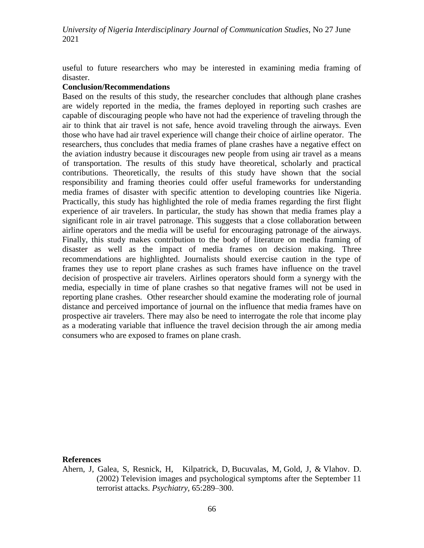useful to future researchers who may be interested in examining media framing of disaster.

#### **Conclusion/Recommendations**

Based on the results of this study, the researcher concludes that although plane crashes are widely reported in the media, the frames deployed in reporting such crashes are capable of discouraging people who have not had the experience of traveling through the air to think that air travel is not safe, hence avoid traveling through the airways. Even those who have had air travel experience will change their choice of airline operator. The researchers, thus concludes that media frames of plane crashes have a negative effect on the aviation industry because it discourages new people from using air travel as a means of transportation. The results of this study have theoretical, scholarly and practical contributions. Theoretically, the results of this study have shown that the social responsibility and framing theories could offer useful frameworks for understanding media frames of disaster with specific attention to developing countries like Nigeria. Practically, this study has highlighted the role of media frames regarding the first flight experience of air travelers. In particular, the study has shown that media frames play a significant role in air travel patronage. This suggests that a close collaboration between airline operators and the media will be useful for encouraging patronage of the airways. Finally, this study makes contribution to the body of literature on media framing of disaster as well as the impact of media frames on decision making. Three recommendations are highlighted. Journalists should exercise caution in the type of frames they use to report plane crashes as such frames have influence on the travel decision of prospective air travelers. Airlines operators should form a synergy with the media, especially in time of plane crashes so that negative frames will not be used in reporting plane crashes. Other researcher should examine the moderating role of journal distance and perceived importance of journal on the influence that media frames have on prospective air travelers. There may also be need to interrogate the role that income play as a moderating variable that influence the travel decision through the air among media consumers who are exposed to frames on plane crash.

#### **References**

Ahern, J, Galea, S, Resnick, H, Kilpatrick, D, Bucuvalas, M, Gold, J, & Vlahov. D. (2002) Television images and psychological symptoms after the September 11 terrorist attacks. *Psychiatry,* 65:289–300.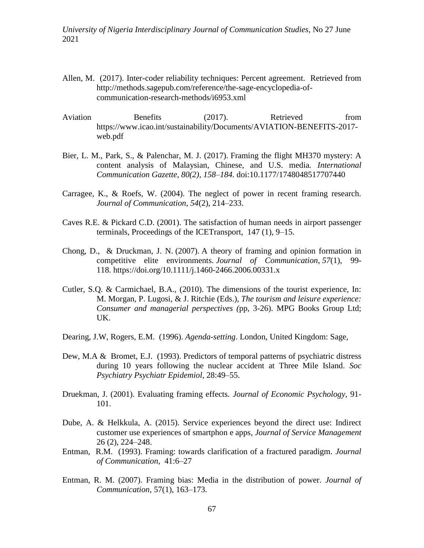- Allen, M. (2017). Inter-coder reliability techniques: Percent agreement. Retrieved from [http://methods.sagepub.com/reference/the-sage-encyclopedia-of](http://methods.sagepub.com/reference/the-sage-encyclopedia-of-communication-research-methods/i6953.xml)[communication-research-methods/i6953.xml](http://methods.sagepub.com/reference/the-sage-encyclopedia-of-communication-research-methods/i6953.xml)
- Aviation Benefits (2017). Retrieved from [https://www.icao.int/sustainability/Documents/AVIATION-BENEFITS-2017](https://www.icao.int/sustainability/Documents/AVIATION-BENEFITS-2017-web.pdf) [web.pdf](https://www.icao.int/sustainability/Documents/AVIATION-BENEFITS-2017-web.pdf)
- Bier, L. M., Park, S., & Palenchar, M. J. (2017). Framing the flight MH370 mystery: A content analysis of Malaysian, Chinese, and U.S. media*. International Communication Gazette, 80(2), 158–184.* doi:10.1177/1748048517707440
- Carragee, K., & Roefs, W. (2004). The neglect of power in recent framing research. *Journal of Communication, 54*(2), 214–233.
- Caves R.E. & Pickard C.D. (2001). The satisfaction of human needs in airport passenger terminals, Proceedings of the ICETransport, 147 (1), 9–15.
- Chong, D., & Druckman, J. N. (2007). A theory of framing and opinion formation in competitive elite environments. *Journal of Communication*, *57*(1), 99- 118. <https://doi.org/10.1111/j.1460-2466.2006.00331.x>
- Cutler, S.Q. & Carmichael, B.A., (2010). The dimensions of the tourist experience, In: M. Morgan, P. Lugosi, & J. Ritchie (Eds.), *The tourism and leisure experience: Consumer and managerial perspectives (*pp, 3-26). MPG Books Group Ltd; UK.
- Dearing, J.W, Rogers, E.M. (1996). *Agenda-setting*. London, United Kingdom: Sage,
- Dew, M.A & Bromet, E.J. (1993). Predictors of temporal patterns of psychiatric distress during 10 years following the nuclear accident at Three Mile Island. *Soc Psychiatry Psychiatr Epidemiol*, 28:49–55.
- Druekman, J. (2001). Evaluating framing effects. *Journal of Economic Psychology*, 91- 101.
- Dube, A. & Helkkula, A. (2015). Service experiences beyond the direct use: Indirect customer use experiences of smartphon e apps*, Journal of Service Management* 26 (2), 224–248.
- Entman, R.M. (1993). Framing: towards clarification of a fractured paradigm. *Journal of Communication,* 41:6–27
- Entman, R. M. (2007). Framing bias: Media in the distribution of power. *Journal of Communication*, 57(1), 163–173.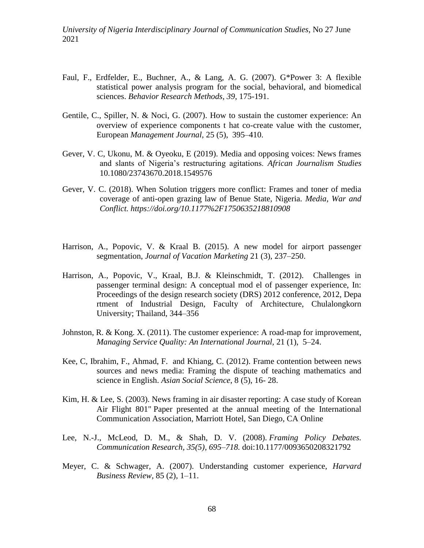- Faul, F., Erdfelder, E., Buchner, A., & Lang, A. G. (2007). G\*Power 3: A flexible statistical power analysis program for the social, behavioral, and biomedical sciences. *Behavior Research Methods, 39*, 175-191.
- Gentile, C., Spiller, N. & Noci, G. (2007). How to sustain the customer experience: An overview of experience components t hat co-create value with the customer, European *Management Journal,* 25 (5), 395–410.
- Gever, V. C, Ukonu, M. & Oyeoku, E (2019). Media and opposing voices: News frames and slants of Nigeria's restructuring agitations. *African Journalism Studies*  10.1080/23743670.2018.1549576
- Gever, V. C. (2018). When Solution triggers more conflict: Frames and toner of media coverage of anti-open grazing law of Benue State, Nigeria. *Media, War and Conflict. https://doi.org/10.1177%2F1750635218810908*
- Harrison, A., Popovic, V. & Kraal B. (2015). A new model for airport passenger segmentation, *Journal of Vacation Marketing* 21 (3), 237–250.
- Harrison, A., Popovic, V., Kraal, B.J. & Kleinschmidt, T. (2012). Challenges in passenger terminal design: A conceptual mod el of passenger experience, In: Proceedings of the design research society (DRS) 2012 conference, 2012, Depa rtment of Industrial Design, Faculty of Architecture, Chulalongkorn University; Thailand, 344–356
- Johnston, R. & Kong. X. (2011). The customer experience: A road-map for improvement, *Managing Service Quality: An International Journal,* 21 (1), 5–24.
- Kee, C, Ibrahim, F., Ahmad, F. and Khiang, C. (2012). Frame contention between news sources and news media: Framing the dispute of teaching mathematics and science in English. *Asian Social Science*, 8 (5), 16- 28.
- Kim, H. & Lee, S. (2003). News framing in air disaster reporting: A case study of Korean Air Flight 801" Paper presented at the annual meeting of the International Communication Association, Marriott Hotel, San Diego, CA Online
- Lee, N.-J., McLeod, D. M., & Shah, D. V. (2008). *Framing Policy Debates. Communication Research, 35(5), 695–718.* doi:10.1177/0093650208321792
- Meyer, C. & Schwager, A. (2007). Understanding customer experience, *Harvard Business Review,* 85 (2), 1–11.